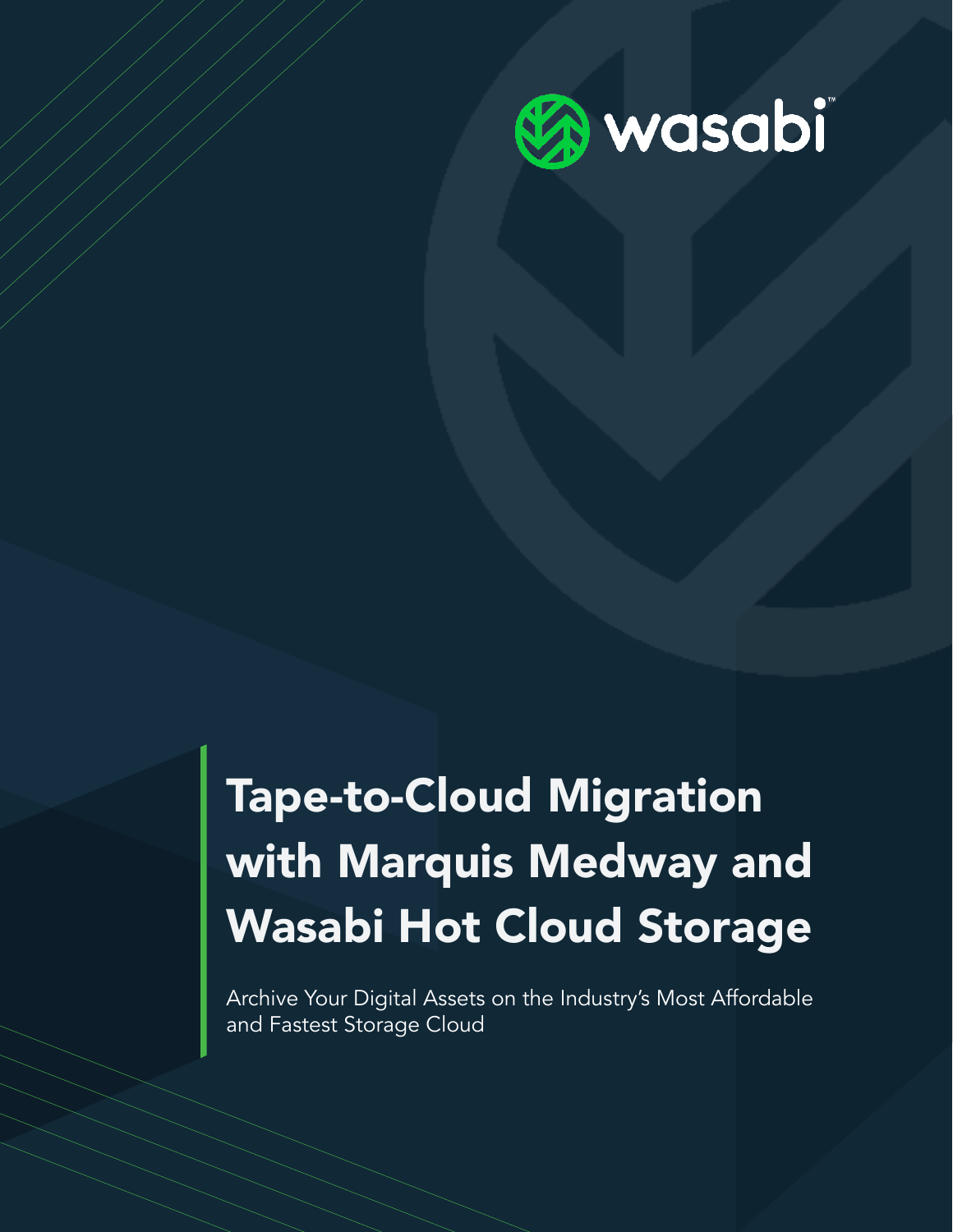

# Tape-to-Cloud Migration with Marquis Medway and Wasabi Hot Cloud Storage

Archive Your Digital Assets on the Industry's Most Affordable and Fastest Storage Cloud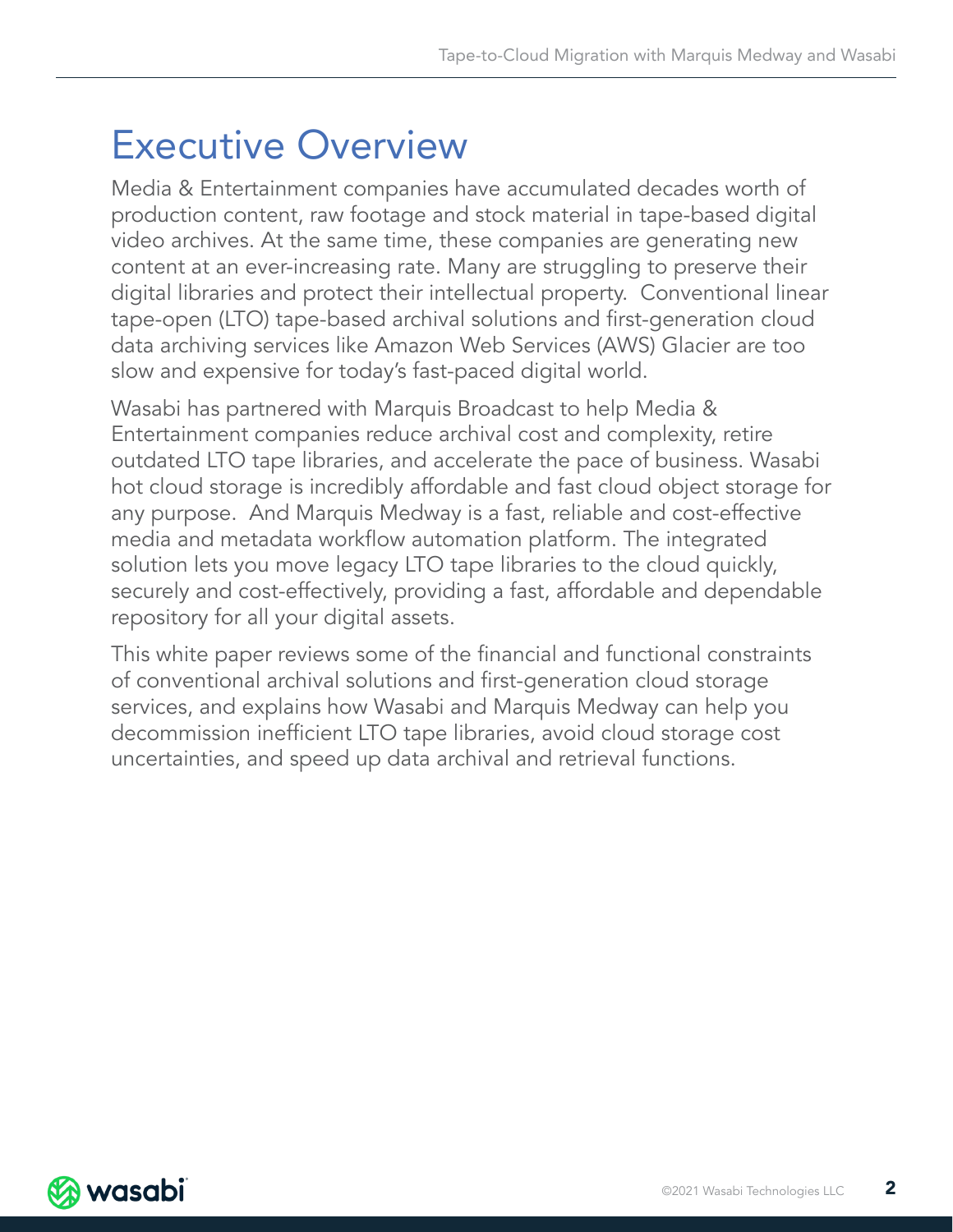# Executive Overview

Media & Entertainment companies have accumulated decades worth of production content, raw footage and stock material in tape-based digital video archives. At the same time, these companies are generating new content at an ever-increasing rate. Many are struggling to preserve their digital libraries and protect their intellectual property. Conventional linear tape-open (LTO) tape-based archival solutions and first-generation cloud data archiving services like Amazon Web Services (AWS) Glacier are too slow and expensive for today's fast-paced digital world.

Wasabi has partnered with Marquis Broadcast to help Media & Entertainment companies reduce archival cost and complexity, retire outdated LTO tape libraries, and accelerate the pace of business. Wasabi hot cloud storage is incredibly affordable and fast cloud object storage for any purpose. And Marquis Medway is a fast, reliable and cost-effective media and metadata workflow automation platform. The integrated solution lets you move legacy LTO tape libraries to the cloud quickly, securely and cost-effectively, providing a fast, affordable and dependable repository for all your digital assets.

This white paper reviews some of the financial and functional constraints of conventional archival solutions and first-generation cloud storage services, and explains how Wasabi and Marquis Medway can help you decommission inefficient LTO tape libraries, avoid cloud storage cost uncertainties, and speed up data archival and retrieval functions.

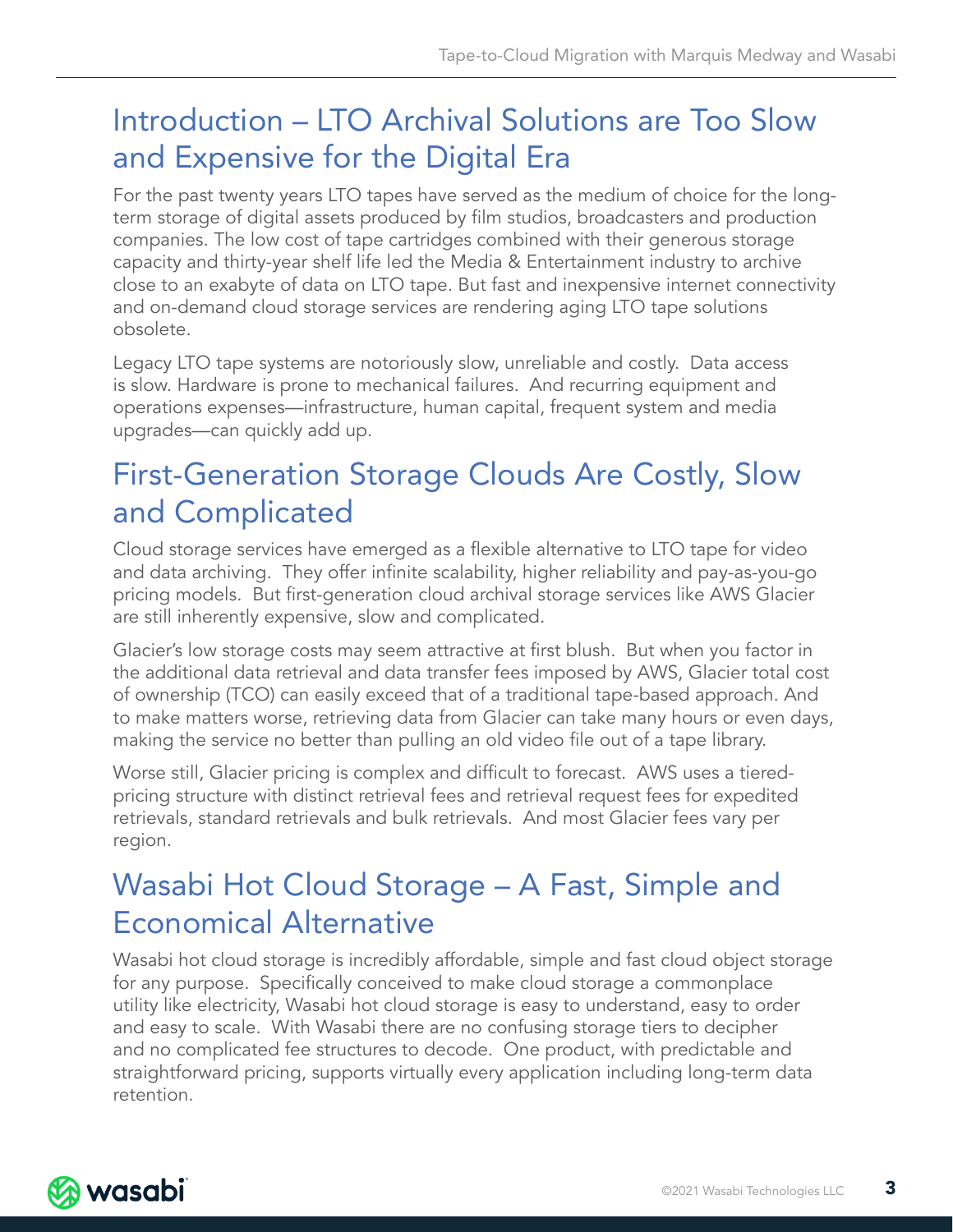# Introduction – LTO Archival Solutions are Too Slow and Expensive for the Digital Era

For the past twenty years LTO tapes have served as the medium of choice for the longterm storage of digital assets produced by film studios, broadcasters and production companies. The low cost of tape cartridges combined with their generous storage capacity and thirty-year shelf life led the Media & Entertainment industry to archive close to an exabyte of data on LTO tape. But fast and inexpensive internet connectivity and on-demand cloud storage services are rendering aging LTO tape solutions obsolete.

Legacy LTO tape systems are notoriously slow, unreliable and costly. Data access is slow. Hardware is prone to mechanical failures. And recurring equipment and operations expenses—infrastructure, human capital, frequent system and media upgrades—can quickly add up.

# First-Generation Storage Clouds Are Costly, Slow and Complicated

Cloud storage services have emerged as a flexible alternative to LTO tape for video and data archiving. They offer infinite scalability, higher reliability and pay-as-you-go pricing models. But first-generation cloud archival storage services like AWS Glacier are still inherently expensive, slow and complicated.

Glacier's low storage costs may seem attractive at first blush. But when you factor in the additional data retrieval and data transfer fees imposed by AWS, Glacier total cost of ownership (TCO) can easily exceed that of a traditional tape-based approach. And to make matters worse, retrieving data from Glacier can take many hours or even days, making the service no better than pulling an old video file out of a tape library.

Worse still, Glacier pricing is complex and difficult to forecast. AWS uses a tieredpricing structure with distinct retrieval fees and retrieval request fees for expedited retrievals, standard retrievals and bulk retrievals. And most Glacier fees vary per region.

# Wasabi Hot Cloud Storage – A Fast, Simple and Economical Alternative

Wasabi hot cloud storage is incredibly affordable, simple and fast cloud object storage for any purpose. Specifically conceived to make cloud storage a commonplace utility like electricity, Wasabi hot cloud storage is easy to understand, easy to order and easy to scale. With Wasabi there are no confusing storage tiers to decipher and no complicated fee structures to decode. One product, with predictable and straightforward pricing, supports virtually every application including long-term data retention.

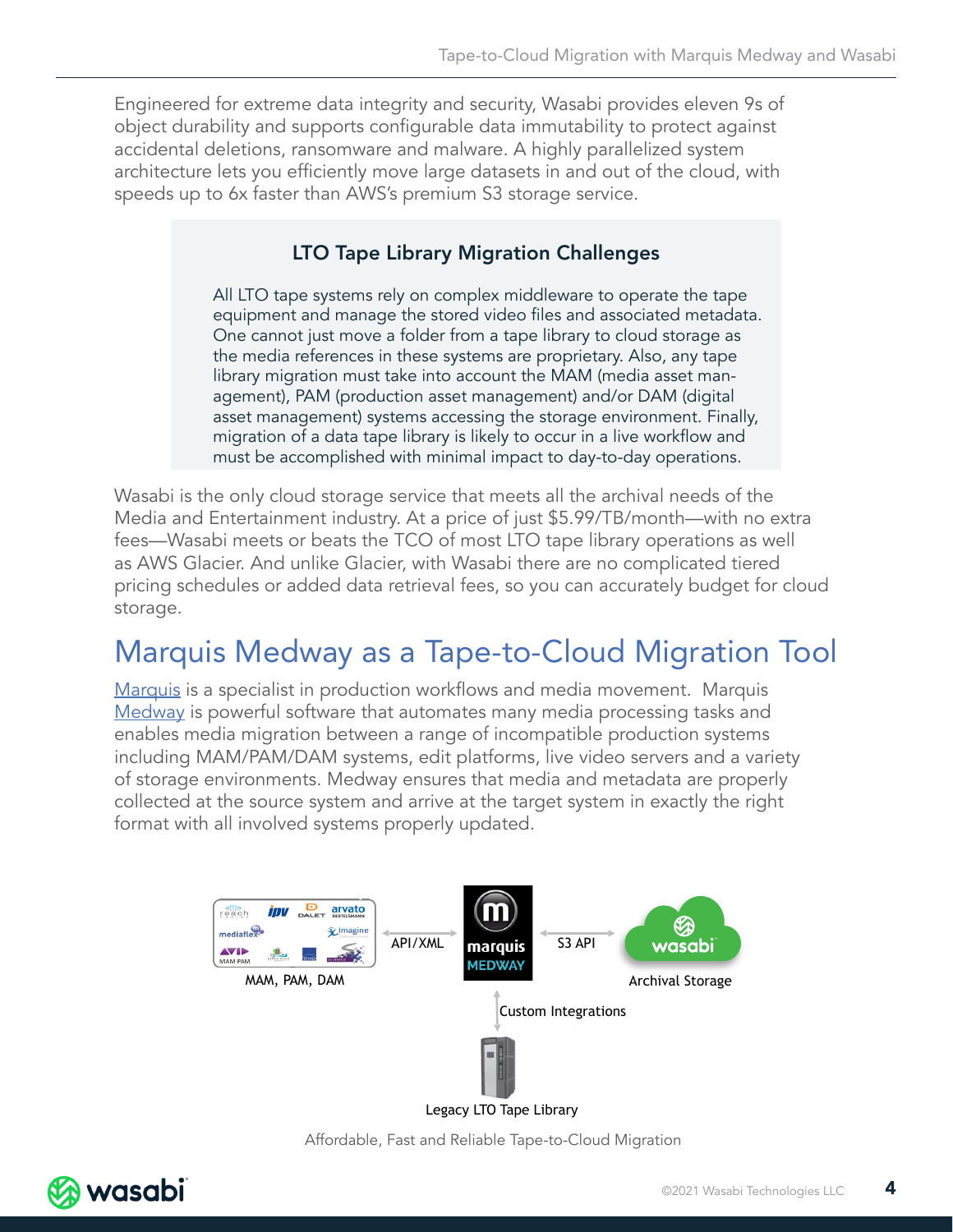Engineered for extreme data integrity and security, Wasabi provides eleven 9s of object durability and supports configurable data immutability to protect against accidental deletions, ransomware and malware. A highly parallelized system architecture lets you efficiently move large datasets in and out of the cloud, with speeds up to 6x faster than AWS's premium S3 storage service.

#### LTO Tape Library Migration Challenges

All LTO tape systems rely on complex middleware to operate the tape equipment and manage the stored video files and associated metadata. One cannot just move a folder from a tape library to cloud storage as the media references in these systems are proprietary. Also, any tape library migration must take into account the MAM (media asset management), PAM (production asset management) and/or DAM (digital asset management) systems accessing the storage environment. Finally, migration of a data tape library is likely to occur in a live workflow and must be accomplished with minimal impact to day-to-day operations.

Wasabi is the only cloud storage service that meets all the archival needs of the Media and Entertainment industry. At a price of just \$5.99/TB/month—with no extra fees—Wasabi meets or beats the TCO of most LTO tape library operations as well as AWS Glacier. And unlike Glacier, with Wasabi there are no complicated tiered pricing schedules or added data retrieval fees, so you can accurately budget for cloud storage.

# Marquis Medway as a Tape-to-Cloud Migration Tool

[Marquis](https://marquisbroadcast.com/) is a specialist in production workflows and media movement. Marquis [Medway](https://marquisbroadcast.com/medway.html) is powerful software that automates many media processing tasks and enables media migration between a range of incompatible production systems including MAM/PAM/DAM systems, edit platforms, live video servers and a variety of storage environments. Medway ensures that media and metadata are properly collected at the source system and arrive at the target system in exactly the right format with all involved systems properly updated.



Affordable, Fast and Reliable Tape-to-Cloud Migration

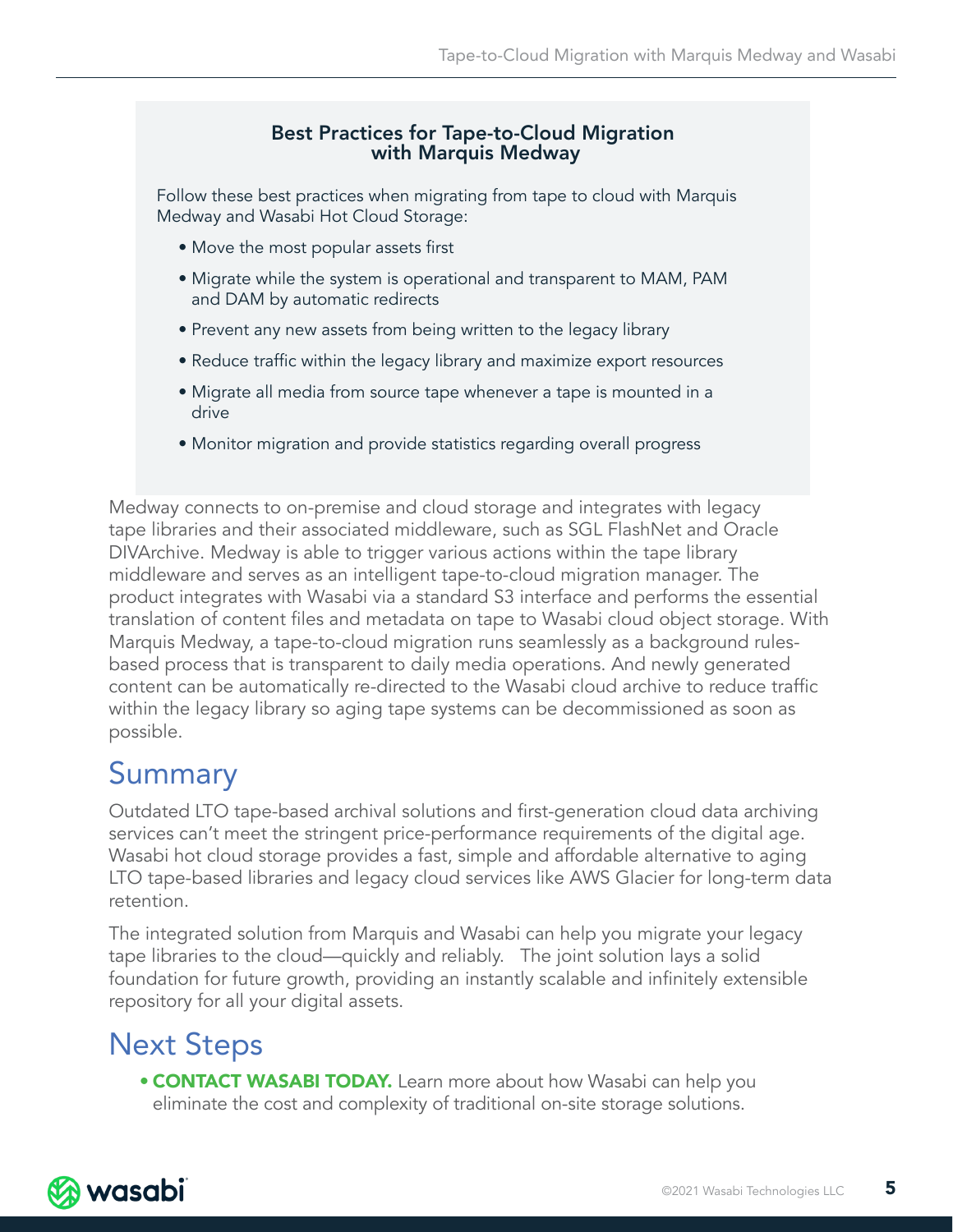#### Best Practices for Tape-to-Cloud Migration with Marquis Medway

Follow these best practices when migrating from tape to cloud with Marquis Medway and Wasabi Hot Cloud Storage:

- Move the most popular assets first
- Migrate while the system is operational and transparent to MAM, PAM and DAM by automatic redirects
- Prevent any new assets from being written to the legacy library
- Reduce traffic within the legacy library and maximize export resources
- Migrate all media from source tape whenever a tape is mounted in a drive
- Monitor migration and provide statistics regarding overall progress

Medway connects to on-premise and cloud storage and integrates with legacy tape libraries and their associated middleware, such as SGL FlashNet and Oracle DIVArchive. Medway is able to trigger various actions within the tape library middleware and serves as an intelligent tape-to-cloud migration manager. The product integrates with Wasabi via a standard S3 interface and performs the essential translation of content files and metadata on tape to Wasabi cloud object storage. With Marquis Medway, a tape-to-cloud migration runs seamlessly as a background rulesbased process that is transparent to daily media operations. And newly generated content can be automatically re-directed to the Wasabi cloud archive to reduce traffic within the legacy library so aging tape systems can be decommissioned as soon as possible.

### Summary

Outdated LTO tape-based archival solutions and first-generation cloud data archiving services can't meet the stringent price-performance requirements of the digital age. Wasabi hot cloud storage provides a fast, simple and affordable alternative to aging LTO tape-based libraries and legacy cloud services like AWS Glacier for long-term data retention.

The integrated solution from Marquis and Wasabi can help you migrate your legacy tape libraries to the cloud—quickly and reliably. The joint solution lays a solid foundation for future growth, providing an instantly scalable and infinitely extensible repository for all your digital assets.

### Next Steps

• **CONTACT WASABI TODAY.** Learn more about how Wasabi can help you eliminate the cost and complexity of traditional on-site storage solutions.